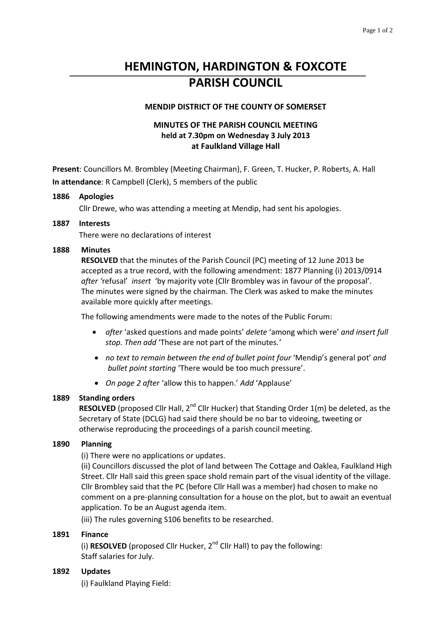# **HEMINGTON, HARDINGTON & FOXCOTE PARISH COUNCIL**

## **MENDIP DISTRICT OF THE COUNTY OF SOMERSET**

# **MINUTES OF THE PARISH COUNCIL MEETING held at 7.30pm on Wednesday 3 July 2013 at Faulkland Village Hall**

**Present**: Councillors M. Brombley (Meeting Chairman), F. Green, T. Hucker, P. Roberts, A. Hall **In attendance**: R Campbell (Clerk), 5 members of the public

#### **1886 Apologies**

Cllr Drewe, who was attending a meeting at Mendip, had sent his apologies.

#### **1887 Interests**

There were no declarations of interest

#### **1888 Minutes**

**RESOLVED** that the minutes of the Parish Council (PC) meeting of 12 June 2013 be accepted as a true record, with the following amendment: 1877 Planning (i) 2013/0914 *after '*refusal' *insert* 'by majority vote (Cllr Brombley was in favour of the proposal'. The minutes were signed by the chairman. The Clerk was asked to make the minutes available more quickly after meetings.

The following amendments were made to the notes of the Public Forum:

- *after* 'asked questions and made points' *delete* 'among which were' *and insert full stop. Then add* 'These are not part of the minutes*.'*
- *no text to remain between the end of bullet point four* 'Mendip's general pot' *and bullet point starting* 'There would be too much pressure'.
- *On page 2 after* 'allow this to happen.' *Add* 'Applause'

#### **1889 Standing orders**

**RESOLVED** (proposed Cllr Hall, 2<sup>nd</sup> Cllr Hucker) that Standing Order 1(m) be deleted, as the Secretary of State (DCLG) had said there should be no bar to videoing, tweeting or otherwise reproducing the proceedings of a parish council meeting.

#### **1890 Planning**

(i) There were no applications or updates.

(ii) Councillors discussed the plot of land between The Cottage and Oaklea, Faulkland High Street. Cllr Hall said this green space shold remain part of the visual identity of the village. Cllr Brombley said that the PC (before Cllr Hall was a member) had chosen to make no comment on a pre-planning consultation for a house on the plot, but to await an eventual application. To be an August agenda item.

(iii) The rules governing S106 benefits to be researched.

#### **1891 Finance**

(i) **RESOLVED** (proposed Cllr Hucker,  $2^{nd}$  Cllr Hall) to pay the following: Staff salaries for July.

# **1892 Updates**

(i) Faulkland Playing Field: